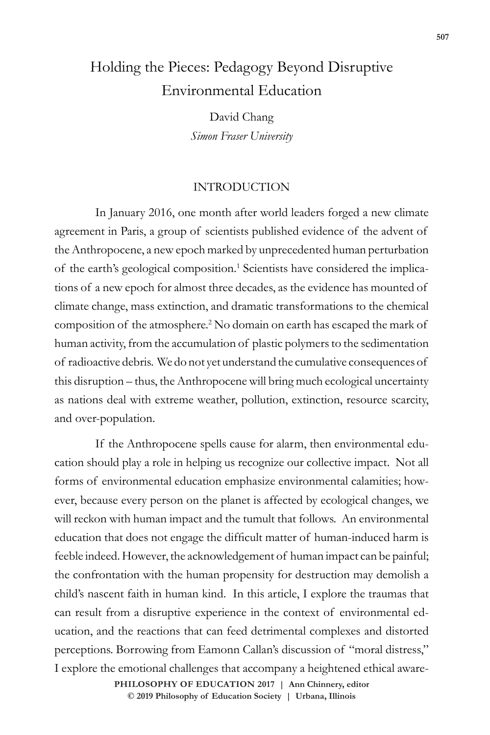# Holding the Pieces: Pedagogy Beyond Disruptive Environmental Education

David Chang *Simon Fraser University*

## INTRODUCTION

In January 2016, one month after world leaders forged a new climate agreement in Paris, a group of scientists published evidence of the advent of the Anthropocene, a new epoch marked by unprecedented human perturbation of the earth's geological composition.<sup>1</sup> Scientists have considered the implications of a new epoch for almost three decades, as the evidence has mounted of climate change, mass extinction, and dramatic transformations to the chemical composition of the atmosphere.<sup>2</sup> No domain on earth has escaped the mark of human activity, from the accumulation of plastic polymers to the sedimentation of radioactive debris. We do not yet understand the cumulative consequences of this disruption – thus, the Anthropocene will bring much ecological uncertainty as nations deal with extreme weather, pollution, extinction, resource scarcity, and over-population.

If the Anthropocene spells cause for alarm, then environmental education should play a role in helping us recognize our collective impact. Not all forms of environmental education emphasize environmental calamities; however, because every person on the planet is affected by ecological changes, we will reckon with human impact and the tumult that follows. An environmental education that does not engage the difficult matter of human-induced harm is feeble indeed. However, the acknowledgement of human impact can be painful; the confrontation with the human propensity for destruction may demolish a child's nascent faith in human kind. In this article, I explore the traumas that can result from a disruptive experience in the context of environmental education, and the reactions that can feed detrimental complexes and distorted perceptions. Borrowing from Eamonn Callan's discussion of "moral distress," I explore the emotional challenges that accompany a heightened ethical aware-

> **doi: 10.47925/73.507 PHILOSOPHY OF EDUCATION 2017 | Ann Chinnery, editor © 2019 Philosophy of Education Society | Urbana, Illinois**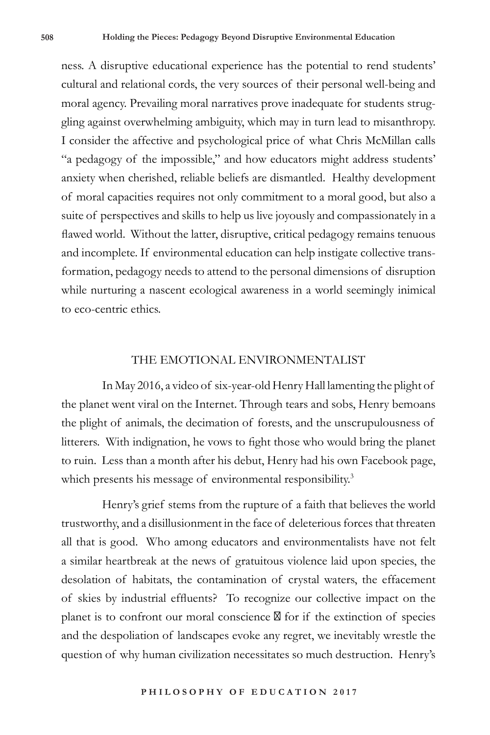ness. A disruptive educational experience has the potential to rend students' cultural and relational cords, the very sources of their personal well-being and moral agency. Prevailing moral narratives prove inadequate for students struggling against overwhelming ambiguity, which may in turn lead to misanthropy. I consider the affective and psychological price of what Chris McMillan calls "a pedagogy of the impossible," and how educators might address students' anxiety when cherished, reliable beliefs are dismantled. Healthy development of moral capacities requires not only commitment to a moral good, but also a suite of perspectives and skills to help us live joyously and compassionately in a flawed world. Without the latter, disruptive, critical pedagogy remains tenuous and incomplete. If environmental education can help instigate collective transformation, pedagogy needs to attend to the personal dimensions of disruption while nurturing a nascent ecological awareness in a world seemingly inimical to eco-centric ethics.

### THE EMOTIONAL ENVIRONMENTALIST

In May 2016, a video of six-year-old Henry Hall lamenting the plight of the planet went viral on the Internet. Through tears and sobs, Henry bemoans the plight of animals, the decimation of forests, and the unscrupulousness of litterers. With indignation, he vows to fight those who would bring the planet to ruin. Less than a month after his debut, Henry had his own Facebook page, which presents his message of environmental responsibility.<sup>3</sup>

Henry's grief stems from the rupture of a faith that believes the world trustworthy, and a disillusionment in the face of deleterious forces that threaten all that is good. Who among educators and environmentalists have not felt a similar heartbreak at the news of gratuitous violence laid upon species, the desolation of habitats, the contamination of crystal waters, the effacement of skies by industrial effluents? To recognize our collective impact on the planet is to confront our moral conscience for if the extinction of species and the despoliation of landscapes evoke any regret, we inevitably wrestle the question of why human civilization necessitates so much destruction. Henry's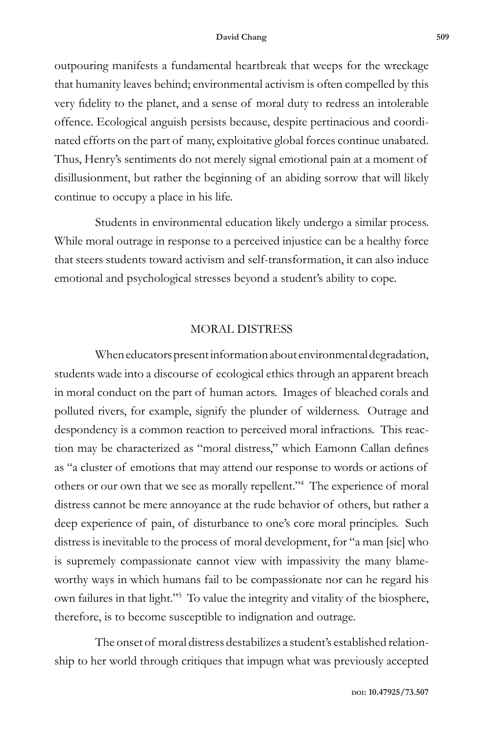#### **David Chang 509**

outpouring manifests a fundamental heartbreak that weeps for the wreckage that humanity leaves behind; environmental activism is often compelled by this very fidelity to the planet, and a sense of moral duty to redress an intolerable offence. Ecological anguish persists because, despite pertinacious and coordinated efforts on the part of many, exploitative global forces continue unabated. Thus, Henry's sentiments do not merely signal emotional pain at a moment of disillusionment, but rather the beginning of an abiding sorrow that will likely continue to occupy a place in his life.

Students in environmental education likely undergo a similar process. While moral outrage in response to a perceived injustice can be a healthy force that steers students toward activism and self-transformation, it can also induce emotional and psychological stresses beyond a student's ability to cope.

# MORAL DISTRESS

When educators present information about environmental degradation, students wade into a discourse of ecological ethics through an apparent breach in moral conduct on the part of human actors. Images of bleached corals and polluted rivers, for example, signify the plunder of wilderness. Outrage and despondency is a common reaction to perceived moral infractions. This reaction may be characterized as "moral distress," which Eamonn Callan defines as "a cluster of emotions that may attend our response to words or actions of others or our own that we see as morally repellent."4 The experience of moral distress cannot be mere annoyance at the rude behavior of others, but rather a deep experience of pain, of disturbance to one's core moral principles. Such distress is inevitable to the process of moral development, for "a man [sic] who is supremely compassionate cannot view with impassivity the many blameworthy ways in which humans fail to be compassionate nor can he regard his own failures in that light."5 To value the integrity and vitality of the biosphere, therefore, is to become susceptible to indignation and outrage.

The onset of moral distress destabilizes a student's established relationship to her world through critiques that impugn what was previously accepted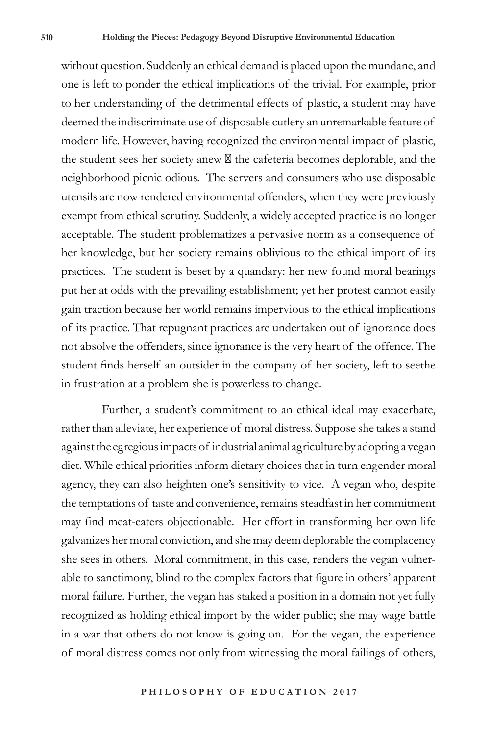without question. Suddenly an ethical demand is placed upon the mundane, and one is left to ponder the ethical implications of the trivial. For example, prior to her understanding of the detrimental effects of plastic, a student may have deemed the indiscriminate use of disposable cutlery an unremarkable feature of modern life. However, having recognized the environmental impact of plastic, the student sees her society anew the cafeteria becomes deplorable, and the neighborhood picnic odious. The servers and consumers who use disposable utensils are now rendered environmental offenders, when they were previously exempt from ethical scrutiny. Suddenly, a widely accepted practice is no longer acceptable. The student problematizes a pervasive norm as a consequence of her knowledge, but her society remains oblivious to the ethical import of its practices. The student is beset by a quandary: her new found moral bearings put her at odds with the prevailing establishment; yet her protest cannot easily gain traction because her world remains impervious to the ethical implications of its practice. That repugnant practices are undertaken out of ignorance does not absolve the offenders, since ignorance is the very heart of the offence. The student finds herself an outsider in the company of her society, left to seethe in frustration at a problem she is powerless to change.

Further, a student's commitment to an ethical ideal may exacerbate, rather than alleviate, her experience of moral distress. Suppose she takes a stand against the egregious impacts of industrial animal agriculture by adopting a vegan diet. While ethical priorities inform dietary choices that in turn engender moral agency, they can also heighten one's sensitivity to vice. A vegan who, despite the temptations of taste and convenience, remains steadfast in her commitment may find meat-eaters objectionable. Her effort in transforming her own life galvanizes her moral conviction, and she may deem deplorable the complacency she sees in others. Moral commitment, in this case, renders the vegan vulnerable to sanctimony, blind to the complex factors that figure in others' apparent moral failure. Further, the vegan has staked a position in a domain not yet fully recognized as holding ethical import by the wider public; she may wage battle in a war that others do not know is going on. For the vegan, the experience of moral distress comes not only from witnessing the moral failings of others,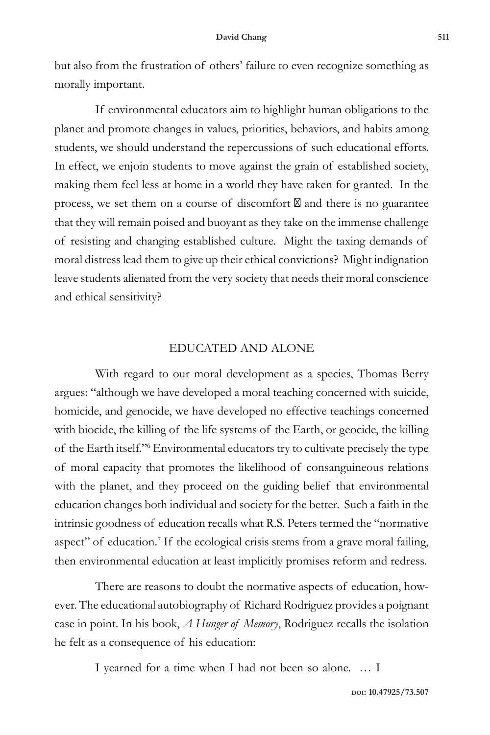but also from the frustration of others' failure to even recognize something as morally important.

If environmental educators aim to highlight human obligations to the planet and promote changes in values, priorities, behaviors, and habits among students, we should understand the repercussions of such educational efforts. In effect, we enjoin students to move against the grain of established society, making them feel less at home in a world they have taken for granted. In the process, we set them on a course of discomfort and there is no guarantee that they will remain poised and buoyant as they take on the immense challenge of resisting and changing established culture. Might the taxing demands of moral distress lead them to give up their ethical convictions? Might indignation leave students alienated from the very society that needs their moral conscience and ethical sensitivity?

# EDUCATED AND ALONE

With regard to our moral development as a species, Thomas Berry argues: "although we have developed a moral teaching concerned with suicide, homicide, and genocide, we have developed no effective teachings concerned with biocide, the killing of the life systems of the Earth, or geocide, the killing of the Earth itself."6 Environmental educators try to cultivate precisely the type of moral capacity that promotes the likelihood of consanguineous relations with the planet, and they proceed on the guiding belief that environmental education changes both individual and society for the better. Such a faith in the intrinsic goodness of education recalls what R.S. Peters termed the "normative aspect" of education.<sup>7</sup> If the ecological crisis stems from a grave moral failing, then environmental education at least implicitly promises reform and redress.

There are reasons to doubt the normative aspects of education, however. The educational autobiography of Richard Rodriguez provides a poignant case in point. In his book, *A Hunger of Memory*, Rodriguez recalls the isolation he felt as a consequence of his education:

I yearned for a time when I had not been so alone. … I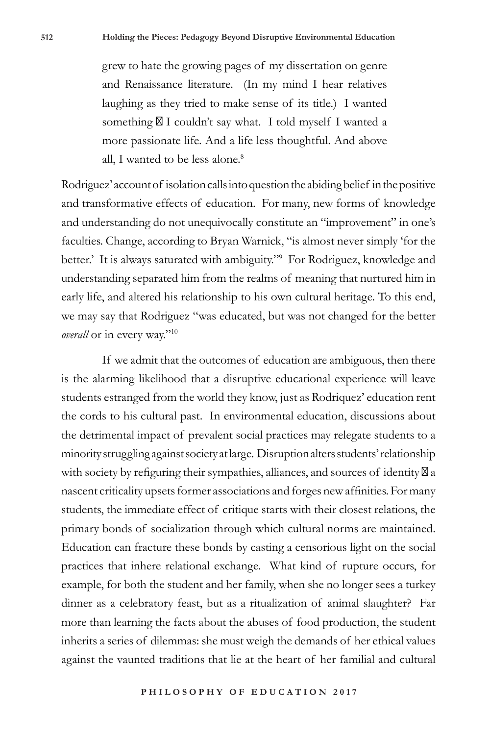grew to hate the growing pages of my dissertation on genre and Renaissance literature. (In my mind I hear relatives laughing as they tried to make sense of its title.) I wanted something I couldn't say what. I told myself I wanted a more passionate life. And a life less thoughtful. And above all, I wanted to be less alone.<sup>8</sup>

Rodriguez' account of isolation calls into question the abiding belief in the positive and transformative effects of education. For many, new forms of knowledge and understanding do not unequivocally constitute an "improvement" in one's faculties. Change, according to Bryan Warnick, "is almost never simply 'for the better.' It is always saturated with ambiguity."9 For Rodriguez, knowledge and understanding separated him from the realms of meaning that nurtured him in early life, and altered his relationship to his own cultural heritage. To this end, we may say that Rodriguez "was educated, but was not changed for the better *overall* or in every way."<sup>10</sup>

If we admit that the outcomes of education are ambiguous, then there is the alarming likelihood that a disruptive educational experience will leave students estranged from the world they know, just as Rodriquez' education rent the cords to his cultural past. In environmental education, discussions about the detrimental impact of prevalent social practices may relegate students to a minority struggling against society at large. Disruption alters students' relationship with society by refiguring their sympathies, alliances, and sources of identity a nascent criticality upsets former associations and forges new affinities. For many students, the immediate effect of critique starts with their closest relations, the primary bonds of socialization through which cultural norms are maintained. Education can fracture these bonds by casting a censorious light on the social practices that inhere relational exchange. What kind of rupture occurs, for example, for both the student and her family, when she no longer sees a turkey dinner as a celebratory feast, but as a ritualization of animal slaughter? Far more than learning the facts about the abuses of food production, the student inherits a series of dilemmas: she must weigh the demands of her ethical values against the vaunted traditions that lie at the heart of her familial and cultural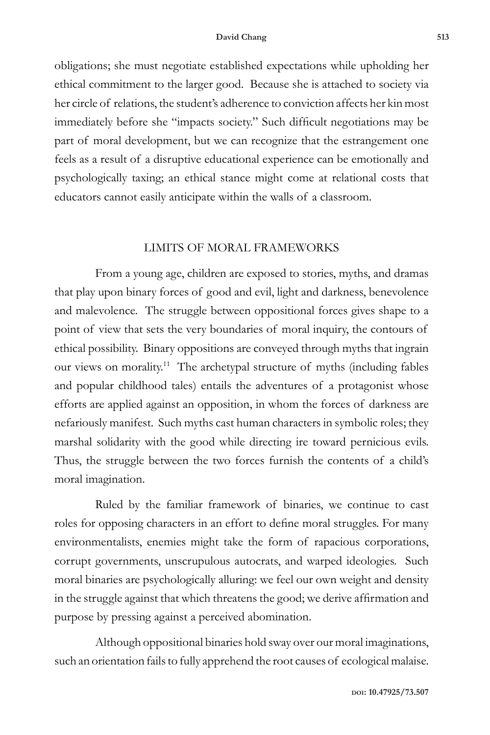#### **David Chang 513**

obligations; she must negotiate established expectations while upholding her ethical commitment to the larger good. Because she is attached to society via her circle of relations, the student's adherence to conviction affects her kin most immediately before she "impacts society." Such difficult negotiations may be part of moral development, but we can recognize that the estrangement one feels as a result of a disruptive educational experience can be emotionally and psychologically taxing; an ethical stance might come at relational costs that educators cannot easily anticipate within the walls of a classroom.

## LIMITS OF MORAL FRAMEWORKS

From a young age, children are exposed to stories, myths, and dramas that play upon binary forces of good and evil, light and darkness, benevolence and malevolence. The struggle between oppositional forces gives shape to a point of view that sets the very boundaries of moral inquiry, the contours of ethical possibility. Binary oppositions are conveyed through myths that ingrain our views on morality.<sup>11</sup> The archetypal structure of myths (including fables and popular childhood tales) entails the adventures of a protagonist whose efforts are applied against an opposition, in whom the forces of darkness are nefariously manifest. Such myths cast human characters in symbolic roles; they marshal solidarity with the good while directing ire toward pernicious evils. Thus, the struggle between the two forces furnish the contents of a child's moral imagination.

Ruled by the familiar framework of binaries, we continue to cast roles for opposing characters in an effort to define moral struggles. For many environmentalists, enemies might take the form of rapacious corporations, corrupt governments, unscrupulous autocrats, and warped ideologies. Such moral binaries are psychologically alluring: we feel our own weight and density in the struggle against that which threatens the good; we derive affirmation and purpose by pressing against a perceived abomination.

Although oppositional binaries hold sway over our moral imaginations, such an orientation fails to fully apprehend the root causes of ecological malaise.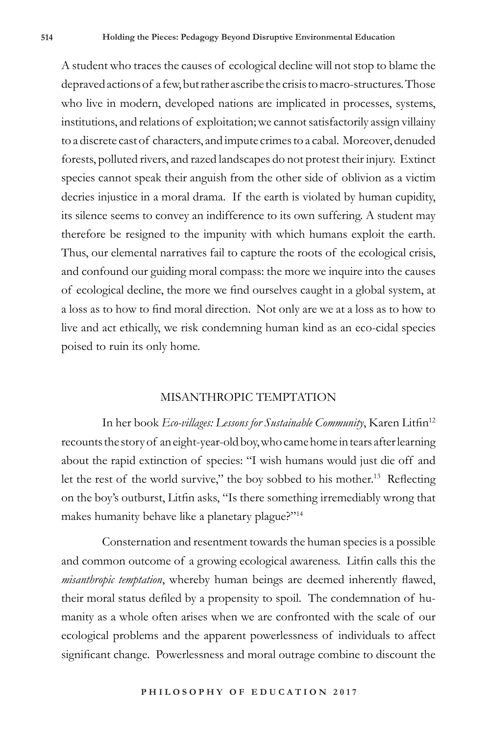A student who traces the causes of ecological decline will not stop to blame the depraved actions of a few, but rather ascribe the crisis to macro-structures. Those who live in modern, developed nations are implicated in processes, systems, institutions, and relations of exploitation; we cannot satisfactorily assign villainy to a discrete cast of characters, and impute crimes to a cabal. Moreover, denuded forests, polluted rivers, and razed landscapes do not protest their injury. Extinct species cannot speak their anguish from the other side of oblivion as a victim decries injustice in a moral drama. If the earth is violated by human cupidity, its silence seems to convey an indifference to its own suffering. A student may therefore be resigned to the impunity with which humans exploit the earth. Thus, our elemental narratives fail to capture the roots of the ecological crisis, and confound our guiding moral compass: the more we inquire into the causes of ecological decline, the more we find ourselves caught in a global system, at a loss as to how to find moral direction. Not only are we at a loss as to how to live and act ethically, we risk condemning human kind as an eco-cidal species poised to ruin its only home.

## MISANTHROPIC TEMPTATION

In her book *Eco-villages: Lessons for Sustainable Community*, Karen Litfin<sup>12</sup> recounts the story of an eight-year-old boy, who came home in tears after learning about the rapid extinction of species: "I wish humans would just die off and let the rest of the world survive," the boy sobbed to his mother.<sup>13</sup> Reflecting on the boy's outburst, Litfin asks, "Is there something irremediably wrong that makes humanity behave like a planetary plague?"<sup>14</sup>

Consternation and resentment towards the human species is a possible and common outcome of a growing ecological awareness. Litfin calls this the *misanthropic temptation*, whereby human beings are deemed inherently flawed, their moral status defiled by a propensity to spoil. The condemnation of humanity as a whole often arises when we are confronted with the scale of our ecological problems and the apparent powerlessness of individuals to affect significant change. Powerlessness and moral outrage combine to discount the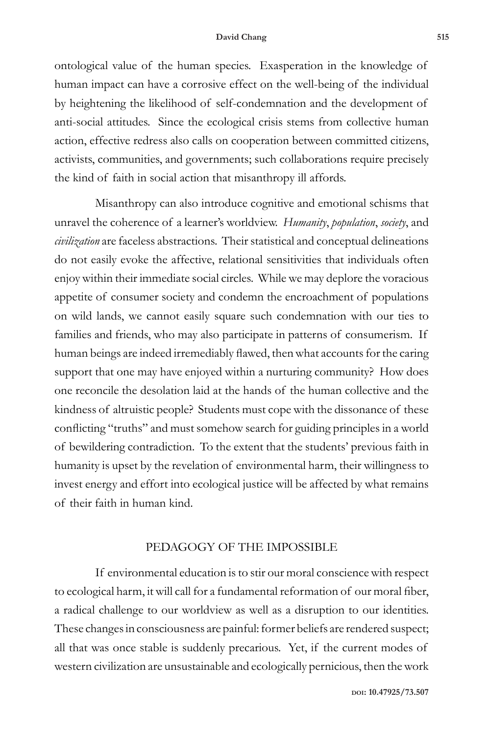#### **David Chang 515**

ontological value of the human species. Exasperation in the knowledge of human impact can have a corrosive effect on the well-being of the individual by heightening the likelihood of self-condemnation and the development of anti-social attitudes. Since the ecological crisis stems from collective human action, effective redress also calls on cooperation between committed citizens, activists, communities, and governments; such collaborations require precisely the kind of faith in social action that misanthropy ill affords.

Misanthropy can also introduce cognitive and emotional schisms that unravel the coherence of a learner's worldview. *Humanity*, *population*, *society*, and *civilization* are faceless abstractions. Their statistical and conceptual delineations do not easily evoke the affective, relational sensitivities that individuals often enjoy within their immediate social circles. While we may deplore the voracious appetite of consumer society and condemn the encroachment of populations on wild lands, we cannot easily square such condemnation with our ties to families and friends, who may also participate in patterns of consumerism. If human beings are indeed irremediably flawed, then what accounts for the caring support that one may have enjoyed within a nurturing community? How does one reconcile the desolation laid at the hands of the human collective and the kindness of altruistic people? Students must cope with the dissonance of these conflicting "truths" and must somehow search for guiding principles in a world of bewildering contradiction. To the extent that the students' previous faith in humanity is upset by the revelation of environmental harm, their willingness to invest energy and effort into ecological justice will be affected by what remains of their faith in human kind.

# PEDAGOGY OF THE IMPOSSIBLE

If environmental education is to stir our moral conscience with respect to ecological harm, it will call for a fundamental reformation of our moral fiber, a radical challenge to our worldview as well as a disruption to our identities. These changes in consciousness are painful: former beliefs are rendered suspect; all that was once stable is suddenly precarious. Yet, if the current modes of western civilization are unsustainable and ecologically pernicious, then the work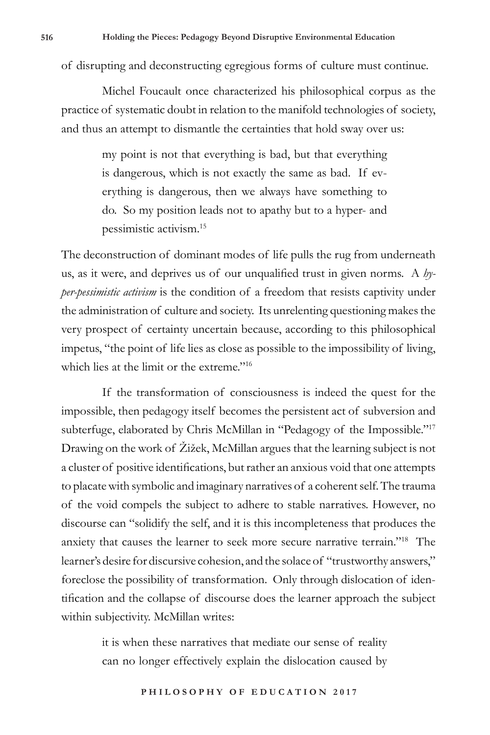of disrupting and deconstructing egregious forms of culture must continue.

Michel Foucault once characterized his philosophical corpus as the practice of systematic doubt in relation to the manifold technologies of society, and thus an attempt to dismantle the certainties that hold sway over us:

> my point is not that everything is bad, but that everything is dangerous, which is not exactly the same as bad. If everything is dangerous, then we always have something to do. So my position leads not to apathy but to a hyper- and pessimistic activism.15

The deconstruction of dominant modes of life pulls the rug from underneath us, as it were, and deprives us of our unqualified trust in given norms. A *hyper-pessimistic activism* is the condition of a freedom that resists captivity under the administration of culture and society. Its unrelenting questioning makes the very prospect of certainty uncertain because, according to this philosophical impetus, "the point of life lies as close as possible to the impossibility of living, which lies at the limit or the extreme."<sup>16</sup>

If the transformation of consciousness is indeed the quest for the impossible, then pedagogy itself becomes the persistent act of subversion and subterfuge, elaborated by Chris McMillan in "Pedagogy of the Impossible."<sup>17</sup> Drawing on the work of Žižek, McMillan argues that the learning subject is not a cluster of positive identifications, but rather an anxious void that one attempts to placate with symbolic and imaginary narratives of a coherent self. The trauma of the void compels the subject to adhere to stable narratives. However, no discourse can "solidify the self, and it is this incompleteness that produces the anxiety that causes the learner to seek more secure narrative terrain."18 The learner's desire for discursive cohesion, and the solace of "trustworthy answers," foreclose the possibility of transformation. Only through dislocation of identification and the collapse of discourse does the learner approach the subject within subjectivity. McMillan writes:

> it is when these narratives that mediate our sense of reality can no longer effectively explain the dislocation caused by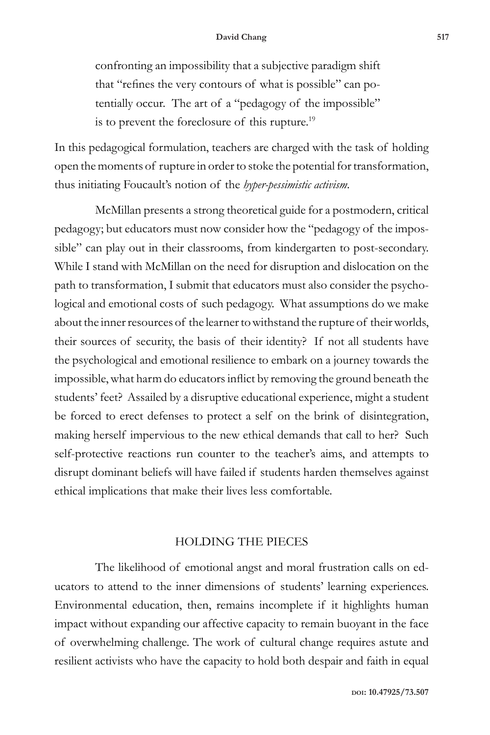confronting an impossibility that a subjective paradigm shift that "refines the very contours of what is possible" can potentially occur. The art of a "pedagogy of the impossible" is to prevent the foreclosure of this rupture.19

In this pedagogical formulation, teachers are charged with the task of holding open the moments of rupture in order to stoke the potential for transformation, thus initiating Foucault's notion of the *hyper-pessimistic activism*.

McMillan presents a strong theoretical guide for a postmodern, critical pedagogy; but educators must now consider how the "pedagogy of the impossible" can play out in their classrooms, from kindergarten to post-secondary. While I stand with McMillan on the need for disruption and dislocation on the path to transformation, I submit that educators must also consider the psychological and emotional costs of such pedagogy. What assumptions do we make about the inner resources of the learner to withstand the rupture of their worlds, their sources of security, the basis of their identity? If not all students have the psychological and emotional resilience to embark on a journey towards the impossible, what harm do educators inflict by removing the ground beneath the students' feet? Assailed by a disruptive educational experience, might a student be forced to erect defenses to protect a self on the brink of disintegration, making herself impervious to the new ethical demands that call to her? Such self-protective reactions run counter to the teacher's aims, and attempts to disrupt dominant beliefs will have failed if students harden themselves against ethical implications that make their lives less comfortable.

# HOLDING THE PIECES

The likelihood of emotional angst and moral frustration calls on educators to attend to the inner dimensions of students' learning experiences. Environmental education, then, remains incomplete if it highlights human impact without expanding our affective capacity to remain buoyant in the face of overwhelming challenge. The work of cultural change requires astute and resilient activists who have the capacity to hold both despair and faith in equal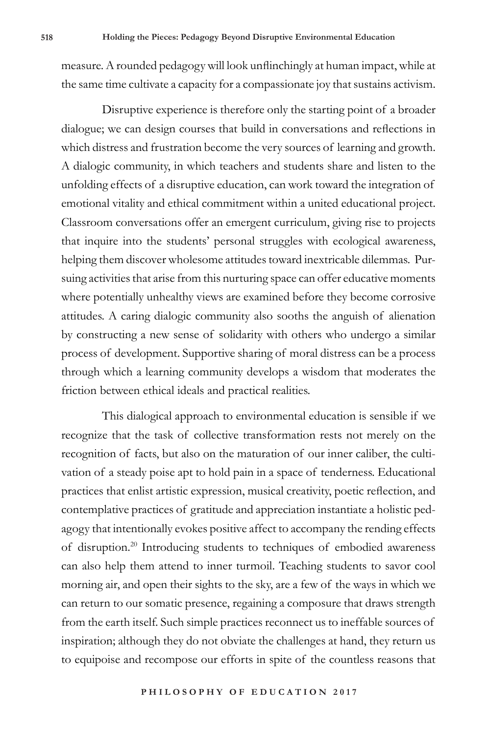measure. A rounded pedagogy will look unflinchingly at human impact, while at the same time cultivate a capacity for a compassionate joy that sustains activism.

Disruptive experience is therefore only the starting point of a broader dialogue; we can design courses that build in conversations and reflections in which distress and frustration become the very sources of learning and growth. A dialogic community, in which teachers and students share and listen to the unfolding effects of a disruptive education, can work toward the integration of emotional vitality and ethical commitment within a united educational project. Classroom conversations offer an emergent curriculum, giving rise to projects that inquire into the students' personal struggles with ecological awareness, helping them discover wholesome attitudes toward inextricable dilemmas. Pursuing activities that arise from this nurturing space can offer educative moments where potentially unhealthy views are examined before they become corrosive attitudes. A caring dialogic community also sooths the anguish of alienation by constructing a new sense of solidarity with others who undergo a similar process of development. Supportive sharing of moral distress can be a process through which a learning community develops a wisdom that moderates the friction between ethical ideals and practical realities.

This dialogical approach to environmental education is sensible if we recognize that the task of collective transformation rests not merely on the recognition of facts, but also on the maturation of our inner caliber, the cultivation of a steady poise apt to hold pain in a space of tenderness. Educational practices that enlist artistic expression, musical creativity, poetic reflection, and contemplative practices of gratitude and appreciation instantiate a holistic pedagogy that intentionally evokes positive affect to accompany the rending effects of disruption.20 Introducing students to techniques of embodied awareness can also help them attend to inner turmoil. Teaching students to savor cool morning air, and open their sights to the sky, are a few of the ways in which we can return to our somatic presence, regaining a composure that draws strength from the earth itself. Such simple practices reconnect us to ineffable sources of inspiration; although they do not obviate the challenges at hand, they return us to equipoise and recompose our efforts in spite of the countless reasons that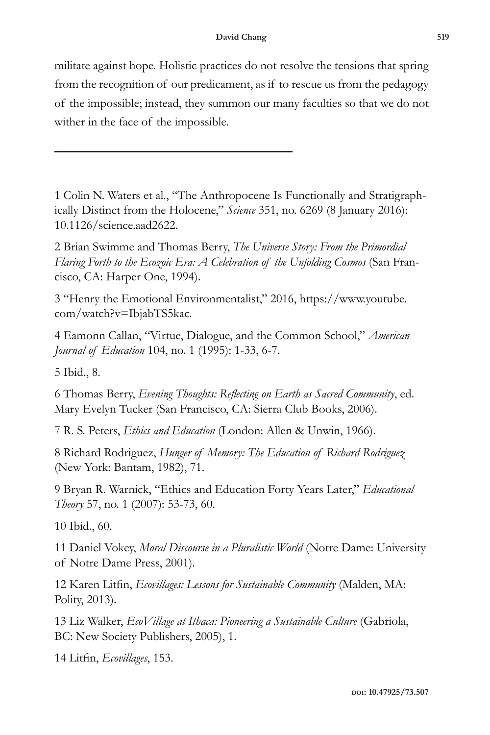militate against hope. Holistic practices do not resolve the tensions that spring from the recognition of our predicament, as if to rescue us from the pedagogy of the impossible; instead, they summon our many faculties so that we do not wither in the face of the impossible.

1 Colin N. Waters et al., "The Anthropocene Is Functionally and Stratigraphically Distinct from the Holocene," *Science* 351, no. 6269 (8 January 2016): 10.1126/science.aad2622.

2 Brian Swimme and Thomas Berry, *The Universe Story: From the Primordial Flaring Forth to the Ecozoic Era: A Celebration of the Unfolding Cosmos* (San Francisco, CA: Harper One, 1994).

3 "Henry the Emotional Environmentalist," 2016, https://www.youtube. com/watch?v=IbjabTS5kac.

4 Eamonn Callan, "Virtue, Dialogue, and the Common School," *American Journal of Education* 104, no. 1 (1995): 1-33, 6-7.

5 Ibid., 8.

6 Thomas Berry, *Evening Thoughts: Reflecting on Earth as Sacred Community*, ed. Mary Evelyn Tucker (San Francisco, CA: Sierra Club Books, 2006).

7 R. S. Peters, *Ethics and Education* (London: Allen & Unwin, 1966).

8 Richard Rodriguez, *Hunger of Memory: The Education of Richard Rodriguez* (New York: Bantam, 1982), 71.

9 Bryan R. Warnick, "Ethics and Education Forty Years Later," *Educational Theory* 57, no. 1 (2007): 53-73, 60.

10 Ibid., 60.

11 Daniel Vokey, *Moral Discourse in a Pluralistic World* (Notre Dame: University of Notre Dame Press, 2001).

12 Karen Litfin, *Ecovillages: Lessons for Sustainable Community* (Malden, MA: Polity, 2013).

13 Liz Walker, *EcoVillage at Ithaca: Pioneering a Sustainable Culture* (Gabriola, BC: New Society Publishers, 2005), 1.

14 Litfin, *Ecovillages*, 153.